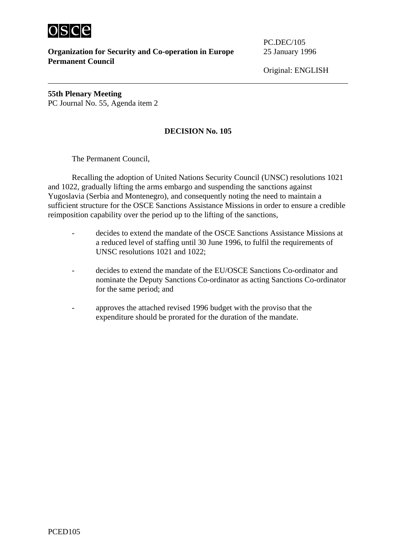

**Organization for Security and Co-operation in Europe** 25 January 1996 **Permanent Council** 

PC.DEC/105

Original: ENGLISH

**55th Plenary Meeting** PC Journal No. 55, Agenda item 2

## **DECISION No. 105**

The Permanent Council,

Recalling the adoption of United Nations Security Council (UNSC) resolutions 1021 and 1022, gradually lifting the arms embargo and suspending the sanctions against Yugoslavia (Serbia and Montenegro), and consequently noting the need to maintain a sufficient structure for the OSCE Sanctions Assistance Missions in order to ensure a credible reimposition capability over the period up to the lifting of the sanctions,

- decides to extend the mandate of the OSCE Sanctions Assistance Missions at a reduced level of staffing until 30 June 1996, to fulfil the requirements of UNSC resolutions 1021 and 1022;
- decides to extend the mandate of the EU/OSCE Sanctions Co-ordinator and nominate the Deputy Sanctions Co-ordinator as acting Sanctions Co-ordinator for the same period; and
- approves the attached revised 1996 budget with the proviso that the expenditure should be prorated for the duration of the mandate.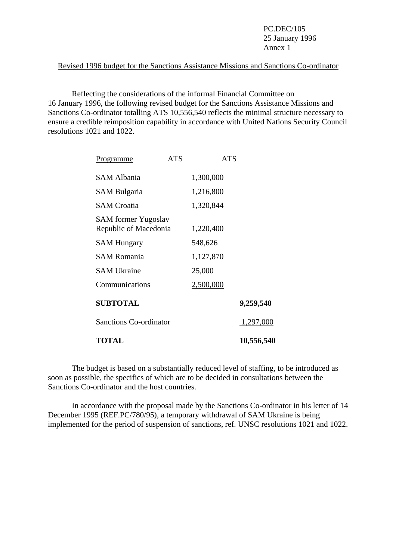PC.DEC/105 25 January 1996 Annex 1

## Revised 1996 budget for the Sanctions Assistance Missions and Sanctions Co-ordinator

 Reflecting the considerations of the informal Financial Committee on 16 January 1996, the following revised budget for the Sanctions Assistance Missions and Sanctions Co-ordinator totalling ATS 10,556,540 reflects the minimal structure necessary to ensure a credible reimposition capability in accordance with United Nations Security Council resolutions 1021 and 1022.

| Programme                                           | <b>ATS</b> | <b>ATS</b> |            |
|-----------------------------------------------------|------------|------------|------------|
| <b>SAM Albania</b>                                  |            | 1,300,000  |            |
| <b>SAM Bulgaria</b>                                 |            | 1,216,800  |            |
| <b>SAM Croatia</b>                                  |            | 1,320,844  |            |
| <b>SAM</b> former Yugoslav<br>Republic of Macedonia |            | 1,220,400  |            |
| <b>SAM Hungary</b>                                  |            | 548,626    |            |
| <b>SAM Romania</b>                                  |            | 1,127,870  |            |
| <b>SAM Ukraine</b>                                  |            | 25,000     |            |
| Communications                                      |            | 2,500,000  |            |
| <b>SUBTOTAL</b>                                     |            |            | 9,259,540  |
| <b>Sanctions Co-ordinator</b>                       |            |            | 1,297,000  |
| <b>TOTAL</b>                                        |            |            | 10,556,540 |

 The budget is based on a substantially reduced level of staffing, to be introduced as soon as possible, the specifics of which are to be decided in consultations between the Sanctions Co-ordinator and the host countries.

 In accordance with the proposal made by the Sanctions Co-ordinator in his letter of 14 December 1995 (REF.PC/780/95), a temporary withdrawal of SAM Ukraine is being implemented for the period of suspension of sanctions, ref. UNSC resolutions 1021 and 1022.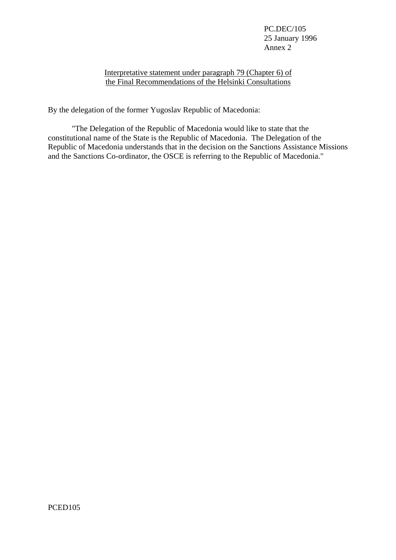PC.DEC/105 25 January 1996 Annex 2

## Interpretative statement under paragraph 79 (Chapter 6) of the Final Recommendations of the Helsinki Consultations

By the delegation of the former Yugoslav Republic of Macedonia:

 "The Delegation of the Republic of Macedonia would like to state that the constitutional name of the State is the Republic of Macedonia. The Delegation of the Republic of Macedonia understands that in the decision on the Sanctions Assistance Missions and the Sanctions Co-ordinator, the OSCE is referring to the Republic of Macedonia."